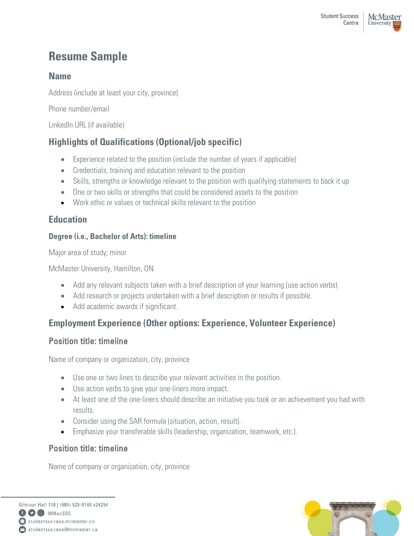# **Resume Sample**

### **Name**

Address (include at least your city, province)

Phone number/email

LinkedIn URL (if available)

### **Highlights of Qualifications (Optional/job specific)**

- Experience related to the position (include the number of years if applicable)
- Credentials, training and education relevant to the position
- Skills, strengths or knowledge relevant to the position with qualifying statements to back it up
- One or two skills or strengths that could be considered assets to the position
- Work ethic or values or technical skills relevant to the position

### **Education**

#### **Degree (i.e., Bachelor of Arts): timeline**

Major area of study; minor

McMaster University, Hamilton, ON

- Add any relevant subjects taken with a brief description of your learning (use action verbs).
- Add research or projects undertaken with a brief description or results if possible.
- Add academic awards if significant.

## **Employment Experience (Other options: Experience, Volunteer Experience)**

### Position title: timeline

Name of company or organization, city, province

- Use one or two lines to describe your relevant activities in the position.
- Use action verbs to give your one-liners more impact.
- At least one of the one-liners should describe an initiative you took or an achievement you had with results.
- Consider using the SAR formula (situation, action, result).
- Emphasize your transferable skills (leadership, organization, teamwork, etc.).

### Position title: timeline

Name of company or organization, city, province

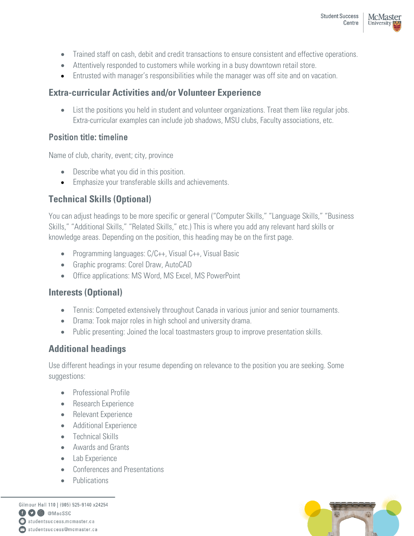- Trained staff on cash, debit and credit transactions to ensure consistent and effective operations.
- Attentively responded to customers while working in a busy downtown retail store.
- Entrusted with manager's responsibilities while the manager was off site and on vacation.

#### **Extra-curricular Activities and/or Volunteer Experience**

• List the positions you held in student and volunteer organizations. Treat them like regular jobs. Extra-curricular examples can include job shadows, MSU clubs, Faculty associations, etc.

#### Position title: timeline

Name of club, charity, event; city, province

- Describe what you did in this position.
- Emphasize your transferable skills and achievements.

#### **Technical Skills (Optional)**

You can adjust headings to be more specific or general ("Computer Skills," "Language Skills," "Business Skills," "Additional Skills," "Related Skills," etc.) This is where you add any relevant hard skills or knowledge areas. Depending on the position, this heading may be on the first page.

- Programming languages: C/C++, Visual C++, Visual Basic
- Graphic programs: Corel Draw, AutoCAD
- Office applications: MS Word, MS Excel, MS PowerPoint

#### **Interests (Optional)**

- Tennis: Competed extensively throughout Canada in various junior and senior tournaments.
- Drama: Took major roles in high school and university drama.
- Public presenting: Joined the local toastmasters group to improve presentation skills.

#### **Additional headings**

Use different headings in your resume depending on relevance to the position you are seeking. Some suggestions:

- Professional Profile
- Research Experience
- Relevant Experience
- Additional Experience
- Technical Skills
- Awards and Grants
- Lab Experience
- Conferences and Presentations
- Publications

Gilmour Hall 110 | (905) 525-9140 x24254 **O** @ @MacSSC studentsuccess.mcmaster.ca Situdentsuccess@mcmaster.ca